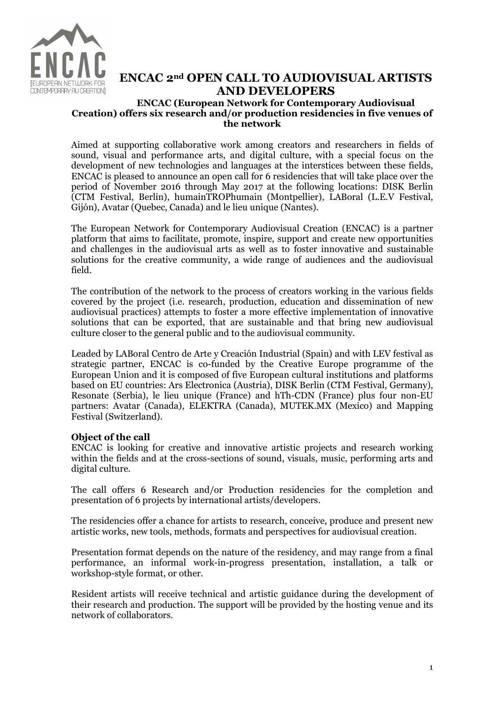

# ENCAC 2nd OPEN CALL TO AUDIOVISUAL ARTISTS AND DEVELOPERS

## ENCAC (European Network for Contemporary Audiovisual Creation) offers six research and/or production residencies in five venues of the network

Aimed at supporting collaborative work among creators and researchers in fields of sound, visual and performance arts, and digital culture, with a special focus on the development of new technologies and languages at the interstices between these fields, ENCAC is pleased to announce an open call for 6 residencies that will take place over the period of November 2016 through May 2017 at the following locations: DISK Berlin (CTM Festival, Berlin), humainTROPhumain (Montpellier), LABoral (L.E.V Festival, Gijón), Avatar (Quebec, Canada) and le lieu unique (Nantes).

The European Network for Contemporary Audiovisual Creation (ENCAC) is a partner platform that aims to facilitate, promote, inspire, support and create new opportunities and challenges in the audiovisual arts as well as to foster innovative and sustainable solutions for the creative community, a wide range of audiences and the audiovisual field.

The contribution of the network to the process of creators working in the various fields covered by the project (i.e. research, production, education and dissemination of new audiovisual practices) attempts to foster a more effective implementation of innovative solutions that can be exported, that are sustainable and that bring new audiovisual culture closer to the general public and to the audiovisual community.

Leaded by LABoral Centro de Arte y Creación Industrial (Spain) and with LEV festival as strategic partner, ENCAC is co-funded by the Creative Europe programme of the European Union and it is composed of five European cultural institutions and platforms based on EU countries: Ars Electronica (Austria), DISK Berlin (CTM Festival, Germany), Resonate (Serbia), le lieu unique (France) and hTh-CDN (France) plus four non-EU partners: Avatar (Canada), ELEKTRA (Canada), MUTEK.MX (Mexico) and Mapping Festival (Switzerland).

# Object of the call

ENCAC is looking for creative and innovative artistic projects and research working within the fields and at the cross-sections of sound, visuals, music, performing arts and digital culture.

The call offers 6 Research and/or Production residencies for the completion and presentation of 6 projects by international artists/developers.

The residencies offer a chance for artists to research, conceive, produce and present new artistic works, new tools, methods, formats and perspectives for audiovisual creation.

Presentation format depends on the nature of the residency, and may range from a final performance, an informal work-in-progress presentation, installation, a talk or workshop-style format, or other.

Resident artists will receive technical and artistic guidance during the development of their research and production. The support will be provided by the hosting venue and its network of collaborators.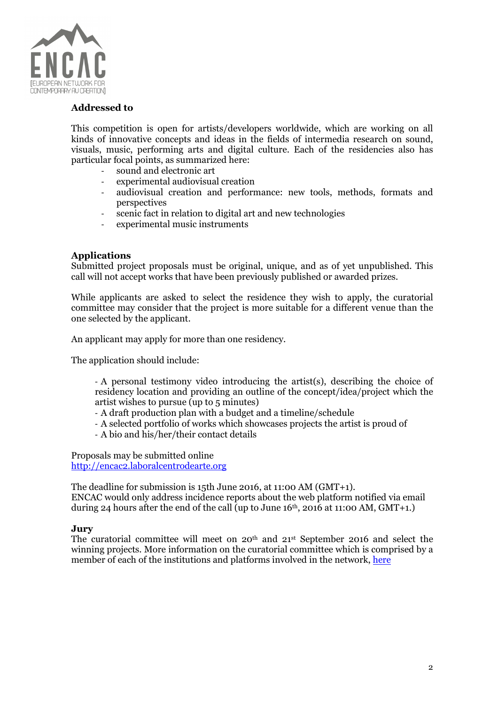

## Addressed to

This competition is open for artists/developers worldwide, which are working on all kinds of innovative concepts and ideas in the fields of intermedia research on sound, visuals, music, performing arts and digital culture. Each of the residencies also has particular focal points, as summarized here:

- sound and electronic art
- experimental audiovisual creation
- audiovisual creation and performance: new tools, methods, formats and perspectives
- scenic fact in relation to digital art and new technologies
- experimental music instruments

## Applications

Submitted project proposals must be original, unique, and as of yet unpublished. This call will not accept works that have been previously published or awarded prizes.

While applicants are asked to select the residence they wish to apply, the curatorial committee may consider that the project is more suitable for a different venue than the one selected by the applicant.

An applicant may apply for more than one residency.

The application should include:

- A personal testimony video introducing the artist(s), describing the choice of residency location and providing an outline of the concept/idea/project which the artist wishes to pursue (up to 5 minutes)

- A draft production plan with a budget and a timeline/schedule
- A selected portfolio of works which showcases projects the artist is proud of
- A bio and his/her/their contact details

Proposals may be submitted online http://encac2.laboralcentrodearte.org

The deadline for submission is 15th June 2016, at 11:00 AM (GMT+1). ENCAC would only address incidence reports about the web platform notified via email during 24 hours after the end of the call (up to June  $16<sup>th</sup>$ , 2016 at 11:00 AM, GMT+1.)

# Jury

The curatorial committee will meet on 20th and 21st September 2016 and select the winning projects. More information on the curatorial committee which is comprised by a member of each of the institutions and platforms involved in the network, here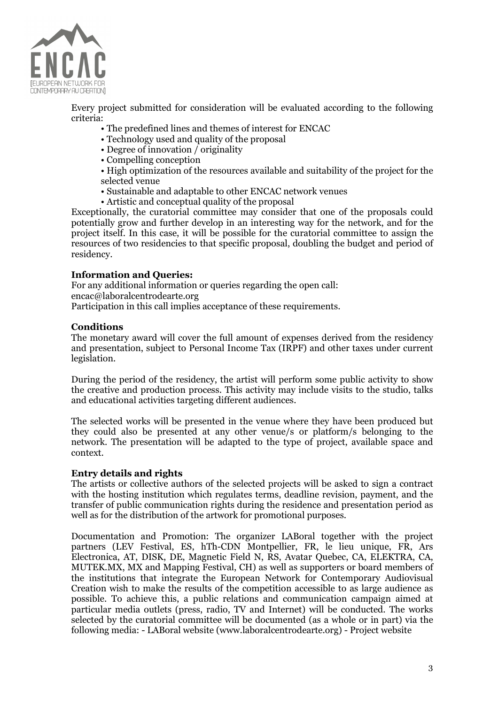

Every project submitted for consideration will be evaluated according to the following criteria:

- The predefined lines and themes of interest for ENCAC
- Technology used and quality of the proposal
- Degree of innovation  $\overline{\overline{}}$  originality
- Compelling conception
- High optimization of the resources available and suitability of the project for the selected venue
- Sustainable and adaptable to other ENCAC network venues
- Artistic and conceptual quality of the proposal

Exceptionally, the curatorial committee may consider that one of the proposals could potentially grow and further develop in an interesting way for the network, and for the project itself. In this case, it will be possible for the curatorial committee to assign the resources of two residencies to that specific proposal, doubling the budget and period of residency.

## Information and Queries:

For any additional information or queries regarding the open call: encac@laboralcentrodearte.org Participation in this call implies acceptance of these requirements.

#### **Conditions**

The monetary award will cover the full amount of expenses derived from the residency and presentation, subject to Personal Income Tax (IRPF) and other taxes under current legislation.

During the period of the residency, the artist will perform some public activity to show the creative and production process. This activity may include visits to the studio, talks and educational activities targeting different audiences.

The selected works will be presented in the venue where they have been produced but they could also be presented at any other venue/s or platform/s belonging to the network. The presentation will be adapted to the type of project, available space and context.

#### Entry details and rights

The artists or collective authors of the selected projects will be asked to sign a contract with the hosting institution which regulates terms, deadline revision, payment, and the transfer of public communication rights during the residence and presentation period as well as for the distribution of the artwork for promotional purposes.

Documentation and Promotion: The organizer LABoral together with the project partners (LEV Festival, ES, hTh-CDN Montpellier, FR, le lieu unique, FR, Ars Electronica, AT, DISK, DE, Magnetic Field N, RS, Avatar Quebec, CA, ELEKTRA, CA, MUTEK.MX, MX and Mapping Festival, CH) as well as supporters or board members of the institutions that integrate the European Network for Contemporary Audiovisual Creation wish to make the results of the competition accessible to as large audience as possible. To achieve this, a public relations and communication campaign aimed at particular media outlets (press, radio, TV and Internet) will be conducted. The works selected by the curatorial committee will be documented (as a whole or in part) via the following media: - LABoral website (www.laboralcentrodearte.org) - Project website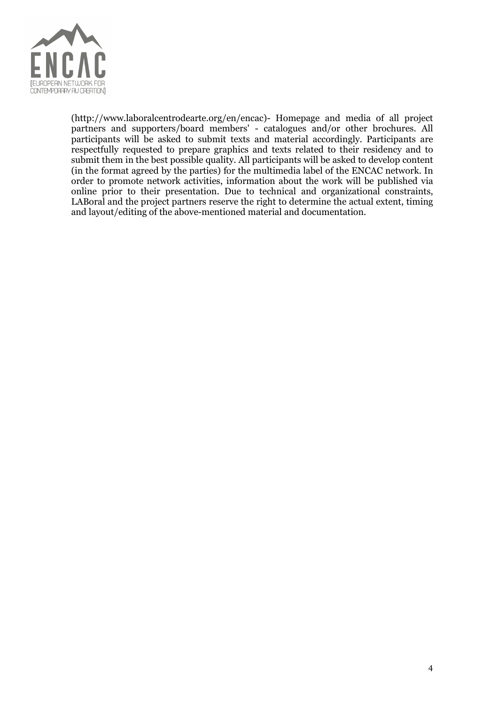

(http://www.laboralcentrodearte.org/en/encac)- Homepage and media of all project partners and supporters/board members' - catalogues and/or other brochures. All participants will be asked to submit texts and material accordingly. Participants are respectfully requested to prepare graphics and texts related to their residency and to submit them in the best possible quality. All participants will be asked to develop content (in the format agreed by the parties) for the multimedia label of the ENCAC network. In order to promote network activities, information about the work will be published via online prior to their presentation. Due to technical and organizational constraints, LABoral and the project partners reserve the right to determine the actual extent, timing and layout/editing of the above-mentioned material and documentation.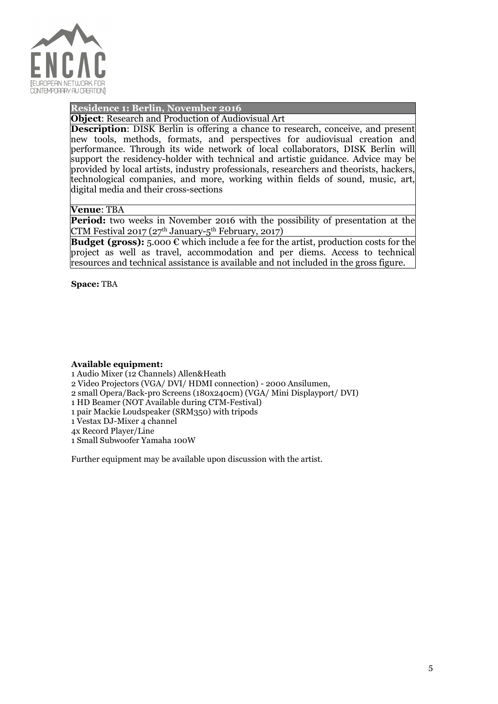

# Residence 1: Berlin, November 2016

Object: Research and Production of Audiovisual Art

Description: DISK Berlin is offering a chance to research, conceive, and present new tools, methods, formats, and perspectives for audiovisual creation and performance. Through its wide network of local collaborators, DISK Berlin will support the residency-holder with technical and artistic guidance. Advice may be provided by local artists, industry professionals, researchers and theorists, hackers, technological companies, and more, working within fields of sound, music, art, digital media and their cross-sections

#### Venue: TBA

**Period:** two weeks in November 2016 with the possibility of presentation at the CTM Festival 2017 ( $27<sup>th</sup>$  January- $5<sup>th</sup>$  February, 2017)

**Budget (gross):** 5.000  $\epsilon$  which include a fee for the artist, production costs for the project as well as travel, accommodation and per diems. Access to technical resources and technical assistance is available and not included in the gross figure.

Space: TBA

#### Available equipment:

1 Audio Mixer (12 Channels) Allen&Heath

- 2 Video Projectors (VGA/ DVI/ HDMI connection) 2000 Ansilumen,
- 2 small Opera/Back-pro Screens (180x240cm) (VGA/ Mini Displayport/ DVI)
- 1 HD Beamer (NOT Available during CTM-Festival)
- 1 pair Mackie Loudspeaker (SRM350) with tripods
- 1 Vestax DJ-Mixer 4 channel

4x Record Player/Line

1 Small Subwoofer Yamaha 100W

Further equipment may be available upon discussion with the artist.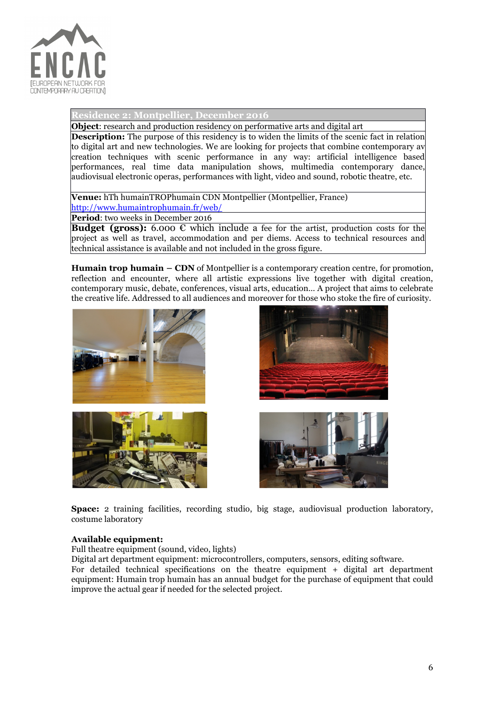

ence 2: Montpellier, December 2016

**Object:** research and production residency on performative arts and digital art

**Description:** The purpose of this residency is to widen the limits of the scenic fact in relation to digital art and new technologies. We are looking for projects that combine contemporary av creation techniques with scenic performance in any way: artificial intelligence based performances, real time data manipulation shows, multimedia contemporary dance, audiovisual electronic operas, performances with light, video and sound, robotic theatre, etc.

Venue: hTh humainTROPhumain CDN Montpellier (Montpellier, France) http://www.humaintrophumain.fr/web/

Period: two weeks in December 2016

**Budget (gross):** 6.000  $\epsilon$  which include a fee for the artist, production costs for the project as well as travel, accommodation and per diems. Access to technical resources and technical assistance is available and not included in the gross figure.

Humain trop humain – CDN of Montpellier is a contemporary creation centre, for promotion, reflection and encounter, where all artistic expressions live together with digital creation, contemporary music, debate, conferences, visual arts, education… A project that aims to celebrate the creative life. Addressed to all audiences and moreover for those who stoke the fire of curiosity.









Space: 2 training facilities, recording studio, big stage, audiovisual production laboratory, costume laboratory

#### Available equipment:

Full theatre equipment (sound, video, lights)

Digital art department equipment: microcontrollers, computers, sensors, editing software. For detailed technical specifications on the theatre equipment + digital art department equipment: Humain trop humain has an annual budget for the purchase of equipment that could improve the actual gear if needed for the selected project.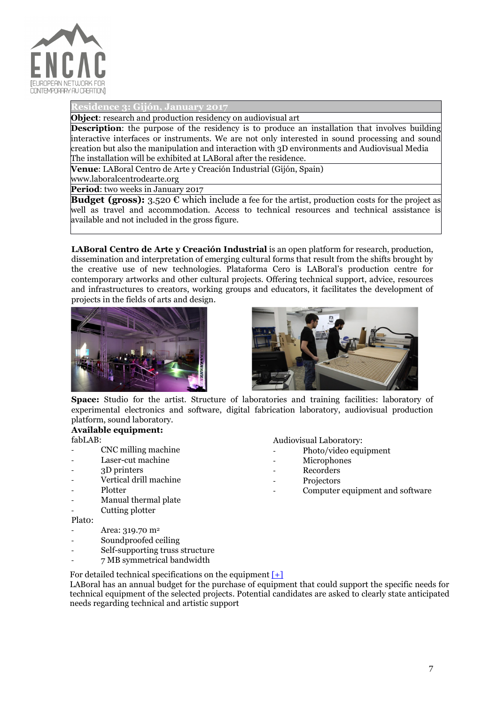

Residence 3: Gijón, January 2017

Object: research and production residency on audiovisual art

**Description:** the purpose of the residency is to produce an installation that involves building interactive interfaces or instruments. We are not only interested in sound processing and sound creation but also the manipulation and interaction with 3D environments and Audiovisual Media The installation will be exhibited at LABoral after the residence.

Venue: LABoral Centro de Arte y Creación Industrial (Gijón, Spain)

www.laboralcentrodearte.org

Period: two weeks in January 2017

**Budget (gross):** 3.520  $\epsilon$  which include a fee for the artist, production costs for the project as well as travel and accommodation. Access to technical resources and technical assistance is available and not included in the gross figure.

LABoral Centro de Arte y Creación Industrial is an open platform for research, production, dissemination and interpretation of emerging cultural forms that result from the shifts brought by the creative use of new technologies. Plataforma Cero is LABoral's production centre for contemporary artworks and other cultural projects. Offering technical support, advice, resources and infrastructures to creators, working groups and educators, it facilitates the development of projects in the fields of arts and design.





Space: Studio for the artist. Structure of laboratories and training facilities: laboratory of experimental electronics and software, digital fabrication laboratory, audiovisual production platform, sound laboratory.

#### Available equipment: fabLAB:

- CNC milling machine
- Laser-cut machine
- 3D printers
- Vertical drill machine
- **Plotter**
- Manual thermal plate
- Cutting plotter

Plat0:

- Area: 319.70 m<sup>2</sup>
- Soundproofed ceiling
- Self-supporting truss structure
- 7 MB symmetrical bandwidth

For detailed technical specifications on the equipment  $[+]$ 

LABoral has an annual budget for the purchase of equipment that could support the specific needs for technical equipment of the selected projects. Potential candidates are asked to clearly state anticipated needs regarding technical and artistic support

Audiovisual Laboratory:

- Photo/video equipment
- **Microphones**
- Recorders
- Projectors
	- Computer equipment and software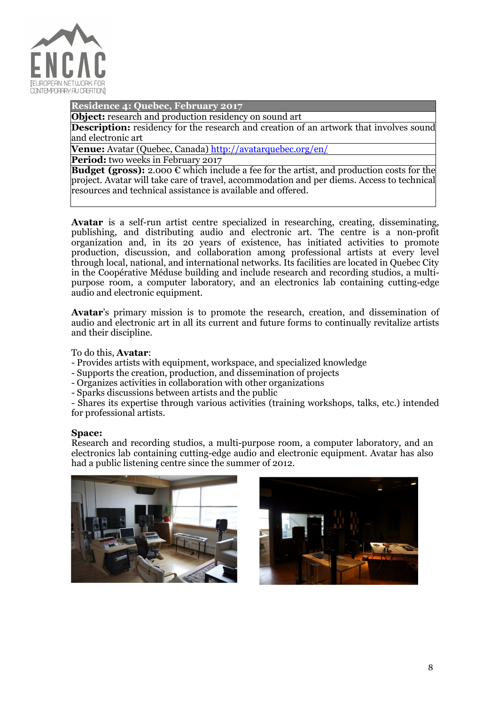

Residence 4: Quebec, February 2017

**Object:** research and production residency on sound art

**Description:** residency for the research and creation of an artwork that involves sound and electronic art

Venue: Avatar (Quebec, Canada) http://avatarquebec.org/en/

Period: two weeks in February 2017

**Budget (gross):** 2.000  $\epsilon$  which include a fee for the artist, and production costs for the project. Avatar will take care of travel, accommodation and per diems. Access to technical resources and technical assistance is available and offered.

Avatar is a self-run artist centre specialized in researching, creating, disseminating, publishing, and distributing audio and electronic art. The centre is a non-profit organization and, in its 20 years of existence, has initiated activities to promote production, discussion, and collaboration among professional artists at every level through local, national, and international networks. Its facilities are located in Quebec City in the Coopérative Méduse building and include research and recording studios, a multipurpose room, a computer laboratory, and an electronics lab containing cutting-edge audio and electronic equipment.

Avatar's primary mission is to promote the research, creation, and dissemination of audio and electronic art in all its current and future forms to continually revitalize artists and their discipline.

To do this, Avatar:

- Provides artists with equipment, workspace, and specialized knowledge

- Supports the creation, production, and dissemination of projects

- Organizes activities in collaboration with other organizations
- Sparks discussions between artists and the public

- Shares its expertise through various activities (training workshops, talks, etc.) intended for professional artists.

#### Space:

Research and recording studios, a multi-purpose room, a computer laboratory, and an electronics lab containing cutting-edge audio and electronic equipment. Avatar has also had a public listening centre since the summer of 2012.



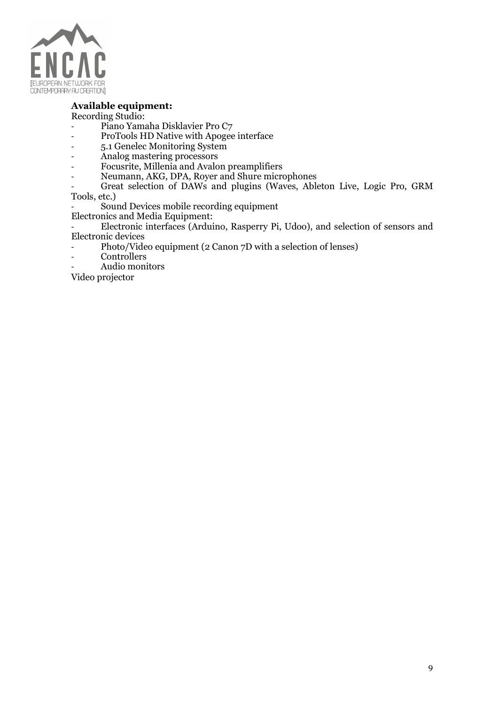

# Available equipment:

Recording Studio:

- Piano Yamaha Disklavier Pro C7
- ProTools HD Native with Apogee interface
- 5.1 Genelec Monitoring System
- Analog mastering processors
- Focusrite, Millenia and Avalon preamplifiers
- Neumann, AKG, DPA, Royer and Shure microphones

Great selection of DAWs and plugins (Waves, Ableton Live, Logic Pro, GRM Tools, etc.)

Sound Devices mobile recording equipment

Electronics and Media Equipment:

Electronic interfaces (Arduino, Rasperry Pi, Udoo), and selection of sensors and Electronic devices

- Photo/Video equipment (2 Canon 7D with a selection of lenses)
- Controllers
- Audio monitors

Video projector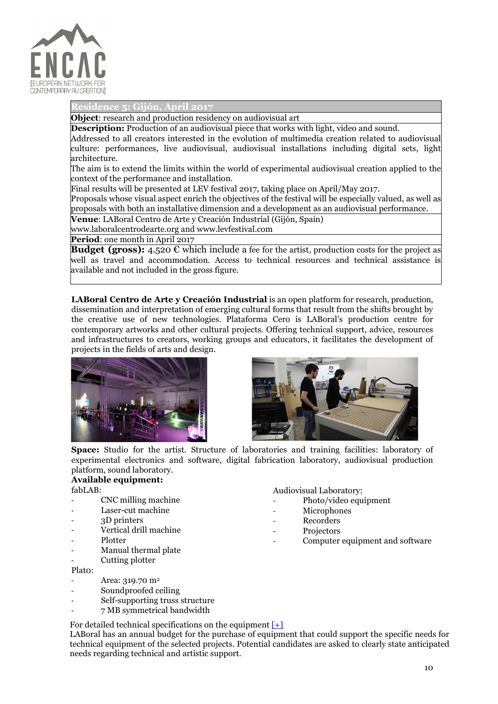

Residence 5: Gijón, April 2017

Object: research and production residency on audiovisual art

**Description:** Production of an audiovisual piece that works with light, video and sound.

Addressed to all creators interested in the evolution of multimedia creation related to audiovisual culture: performances, live audiovisual, audiovisual installations including digital sets, light architecture.

The aim is to extend the limits within the world of experimental audiovisual creation applied to the context of the performance and installation.

Final results will be presented at LEV festival 2017, taking place on April/May 2017.

Proposals whose visual aspect enrich the objectives of the festival will be especially valued, as well as proposals with both an installative dimension and a development as an audiovisual performance.

Venue: LABoral Centro de Arte y Creación Industrial (Gijón, Spain)

www.laboralcentrodearte.org and www.levfestival.com

Period: one month in April 2017

**Budget (gross):** 4.520  $\epsilon$  which include a fee for the artist, production costs for the project as well as travel and accommodation. Access to technical resources and technical assistance is available and not included in the gross figure.

LABoral Centro de Arte y Creación Industrial is an open platform for research, production, dissemination and interpretation of emerging cultural forms that result from the shifts brought by the creative use of new technologies. Plataforma Cero is LABoral's production centre for contemporary artworks and other cultural projects. Offering technical support, advice, resources and infrastructures to creators, working groups and educators, it facilitates the development of projects in the fields of arts and design.





Space: Studio for the artist. Structure of laboratories and training facilities: laboratory of experimental electronics and software, digital fabrication laboratory, audiovisual production platform, sound laboratory.

#### Available equipment:

fabLAB:

- CNC milling machine
- Laser-cut machine
- 3D printers
- Vertical drill machine
- **Plotter**
- Manual thermal plate
- Cutting plotter

Plato:

- Area: 319.70 m<sup>2</sup>
- Soundproofed ceiling
- Self-supporting truss structure
- 7 MB symmetrical bandwidth

For detailed technical specifications on the equipment  $[+]$ 

LABoral has an annual budget for the purchase of equipment that could support the specific needs for technical equipment of the selected projects. Potential candidates are asked to clearly state anticipated needs regarding technical and artistic support.

Audiovisual Laboratory:

- Photo/video equipment
- Microphones
- **Recorders**
- **Projectors** 
	- Computer equipment and software